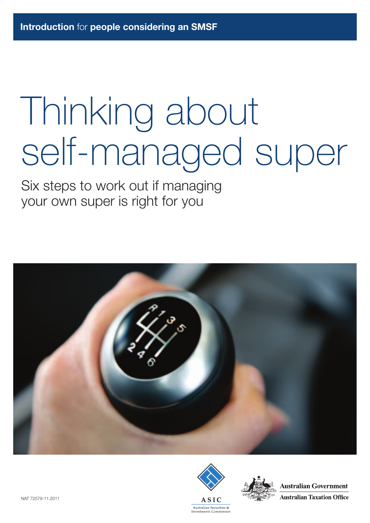# Thinking about self-managed super

Six steps to work out if managing your own super is right for you







**Australian Government Australian Taxation Office**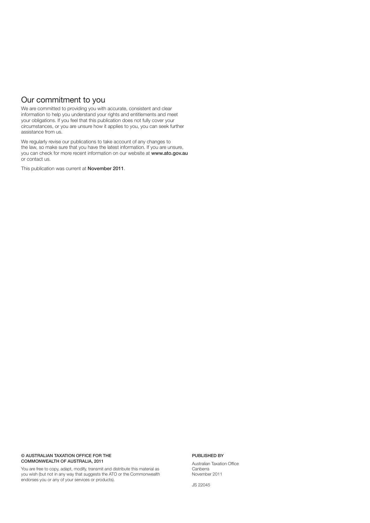#### Our commitment to you

We are committed to providing you with accurate, consistent and clear information to help you understand your rights and entitlements and meet your obligations. If you feel that this publication does not fully cover your circumstances, or you are unsure how it applies to you, you can seek further assistance from us.

We regularly revise our publications to take account of any changes to the law, so make sure that you have the latest information. If you are unsure, you can check for more recent information on our website at www.ato.gov.au or contact us.

This publication was current at November 2011.

#### © AUSTRALIAN TAXATION OFFICE FOR THE COMMONWEALTH OF AUSTRALIA, 2011

You are free to copy, adapt, modify, transmit and distribute this material as you wish (but not in any way that suggests the ATO or the Commonwealth endorses you or any of your services or products).

#### PUBLISHED BY

Australian Taxation Office Canberra November 2011

JS 22045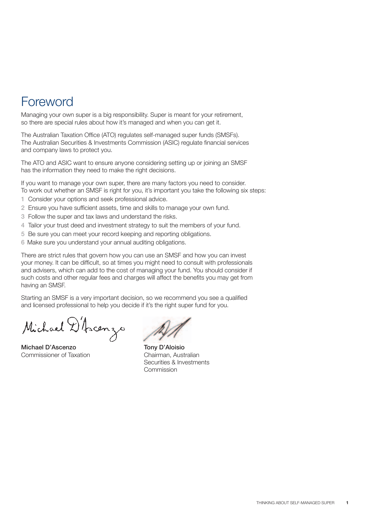### Foreword

Managing your own super is a big responsibility. Super is meant for your retirement, so there are special rules about how it's managed and when you can get it.

The Australian Taxation Office (ATO) regulates self-managed super funds (SMSFs). The Australian Securities & Investments Commission (ASIC) regulate financial services and company laws to protect you.

The ATO and ASIC want to ensure anyone considering setting up or joining an SMSF has the information they need to make the right decisions.

If you want to manage your own super, there are many factors you need to consider. To work out whether an SMSF is right for you, it's important you take the following six steps:

- 1 Consider your options and seek professional advice.
- 2 Ensure you have sufficient assets, time and skills to manage your own fund.
- 3 Follow the super and tax laws and understand the risks.
- 4 Tailor your trust deed and investment strategy to suit the members of your fund.
- 5 Be sure you can meet your record keeping and reporting obligations.
- 6 Make sure you understand your annual auditing obligations.

There are strict rules that govern how you can use an SMSF and how you can invest your money. It can be difficult, so at times you might need to consult with professionals and advisers, which can add to the cost of managing your fund. You should consider if such costs and other regular fees and charges will affect the benefits you may get from having an SMSF.

Starting an SMSF is a very important decision, so we recommend you see a qualified and licensed professional to help you decide if it's the right super fund for you.

Michael D'Ascenzo

Michael D'Ascenzo Commissioner of Taxation

Tony D'Aloisio Chairman, Australian Securities & Investments Commission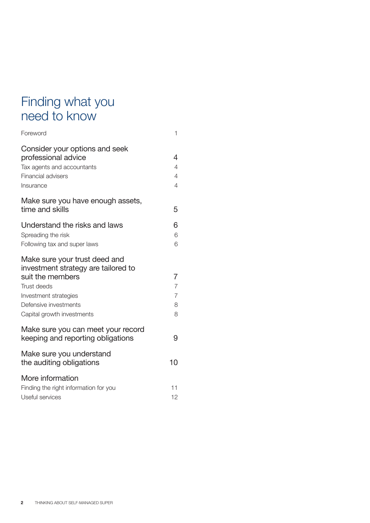### Finding what you need to know

| Foreword                                                                                                                                                                                       | $\mathbf{1}$                                    |
|------------------------------------------------------------------------------------------------------------------------------------------------------------------------------------------------|-------------------------------------------------|
| Consider your options and seek<br>professional advice<br>Tax agents and accountants<br>Financial advisers<br>Insurance                                                                         | 4<br>4<br>4<br>4                                |
| Make sure you have enough assets,<br>time and skills                                                                                                                                           | 5                                               |
| Understand the risks and laws<br>Spreading the risk<br>Following tax and super laws                                                                                                            | 6<br>6<br>6                                     |
| Make sure your trust deed and<br>investment strategy are tailored to<br>suit the members<br><b>Trust deeds</b><br>Investment strategies<br>Defensive investments<br>Capital growth investments | 7<br>$\overline{7}$<br>$\overline{7}$<br>8<br>8 |
| Make sure you can meet your record<br>keeping and reporting obligations                                                                                                                        | 9                                               |
| Make sure you understand<br>the auditing obligations                                                                                                                                           | 10                                              |
| More information<br>Finding the right information for you<br>Useful services                                                                                                                   | 11<br>12                                        |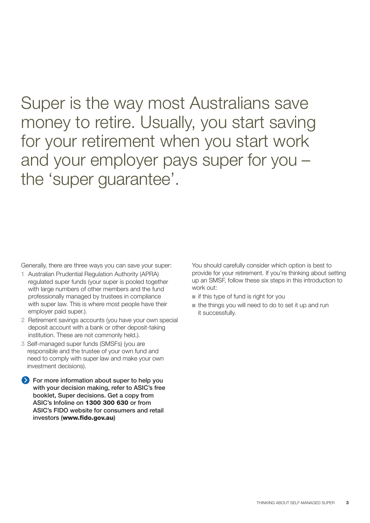Super is the way most Australians save money to retire. Usually, you start saving for your retirement when you start work and your employer pays super for you – the 'super guarantee'.

Generally, there are three ways you can save your super:

- 1 Australian Prudential Regulation Authority (APRA) regulated super funds (your super is pooled together with large numbers of other members and the fund professionally managed by trustees in compliance with super law. This is where most people have their employer paid super.).
- 2 Retirement savings accounts (you have your own special deposit account with a bank or other deposit-taking institution. These are not commonly held.).
- 3 Self-managed super funds (SMSFs) (you are responsible and the trustee of your own fund and need to comply with super law and make your own investment decisions).

For more information about super to help you with your decision making, refer to ASIC's free booklet, Super decisions. Get a copy from ASIC's Infoline on 1300 300 630 or from ASIC's FIDO website for consumers and retail investors (www.fido.gov.au)

You should carefully consider which option is best to provide for your retirement. If you're thinking about setting up an SMSF, follow these six steps in this introduction to work out:

- if this type of fund is right for you
- the things you will need to do to set it up and run it successfully.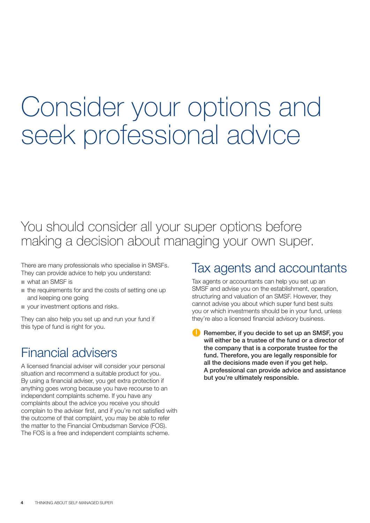## Consider your options and seek professional advice

### You should consider all your super options before making a decision about managing your own super.

There are many professionals who specialise in SMSFs. They can provide advice to help you understand:

- what an SMSF is
- the requirements for and the costs of setting one up and keeping one going
- your investment options and risks.

They can also help you set up and run your fund if this type of fund is right for you.

### Financial advisers

A licensed financial adviser will consider your personal situation and recommend a suitable product for you. By using a financial adviser, you get extra protection if anything goes wrong because you have recourse to an independent complaints scheme. If you have any complaints about the advice you receive you should complain to the adviser first, and if you're not satisfied with the outcome of that complaint, you may be able to refer the matter to the Financial Ombudsman Service (FOS). The FOS is a free and independent complaints scheme.

### Tax agents and accountants

Tax agents or accountants can help you set up an SMSF and advise you on the establishment, operation, structuring and valuation of an SMSF. However, they cannot advise you about which super fund best suits you or which investments should be in your fund, unless they're also a licensed financial advisory business.

Remember, if you decide to set up an SMSF, you will either be a trustee of the fund or a director of the company that is a corporate trustee for the fund. Therefore, you are legally responsible for all the decisions made even if you get help. A professional can provide advice and assistance but you're ultimately responsible.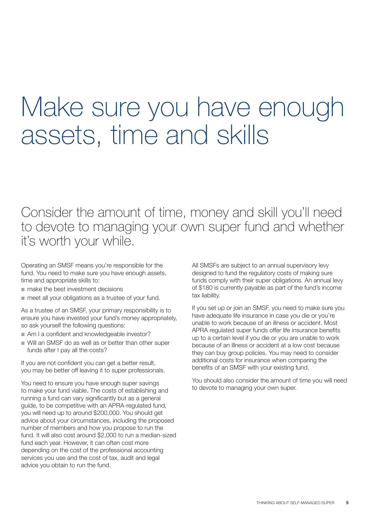## Make sure you have enough assets, time and skills

Consider the amount of time, money and skill you'll need to devote to managing your own super fund and whether it's worth your while.

Operating an SMSF means you're responsible for the fund. You need to make sure you have enough assets, time and appropriate skills to:

- make the best investment decisions
- meet all your obligations as a trustee of your fund.

As a trustee of an SMSF, your primary responsibility is to ensure you have invested your fund's money appropriately, so ask yourself the following questions:

- Am I a confident and knowledgeable investor?
- Will an SMSF do as well as or better than other super funds after I pay all the costs?

If you are not confident you can get a better result, you may be better off leaving it to super professionals.

You need to ensure you have enough super savings to make your fund viable. The costs of establishing and running a fund can vary significantly but as a general guide, to be competitive with an APRA-regulated fund, you will need up to around \$200,000. You should get advice about your circumstances, including the proposed number of members and how you propose to run the fund. It will also cost around \$2,000 to run a median-sized fund each year. However, it can often cost more depending on the cost of the professional accounting services you use and the cost of tax, audit and legal advice you obtain to run the fund.

All SMSFs are subject to an annual supervisory levy designed to fund the regulatory costs of making sure funds comply with their super obligations. An annual levy of \$180 is currently payable as part of the fund's income tax liability.

If you set up or join an SMSF, you need to make sure you have adequate life insurance in case you die or you're unable to work because of an illness or accident. Most APRA regulated super funds offer life insurance benefits up to a certain level if you die or you are unable to work because of an illness or accident at a low cost because they can buy group policies. You may need to consider additional costs for insurance when comparing the benefits of an SMSF with your existing fund.

You should also consider the amount of time you will need to devote to managing your own super.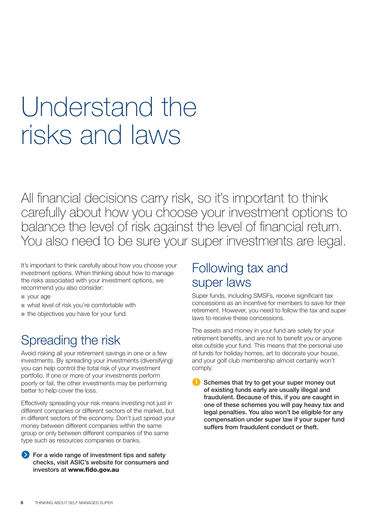## Understand the risks and laws

All financial decisions carry risk, so it's important to think carefully about how you choose your investment options to balance the level of risk against the level of financial return. You also need to be sure your super investments are legal.

It's important to think carefully about how you choose your investment options. When thinking about how to manage the risks associated with your investment options, we recommend you also consider:

- your age
- what level of risk you're comfortable with
- the objectives you have for your fund.

### Spreading the risk

Avoid risking all your retirement savings in one or a few investments. By spreading your investments (diversifying) you can help control the total risk of your investment portfolio. If one or more of your investments perform poorly or fail, the other investments may be performing better to help cover the loss.

Effectively spreading your risk means investing not just in different companies or different sectors of the market, but in different sectors of the economy. Don't just spread your money between different companies within the same group or only between different companies of the same type such as resources companies or banks.

#### $\bullet$  For a wide range of investment tips and safety checks, visit ASIC's website for consumers and investors at www.fido.gov.au

### Following tax and super laws

Super funds, including SMSFs, receive significant tax concessions as an incentive for members to save for their retirement. However, you need to follow the tax and super laws to receive these concessions.

The assets and money in your fund are solely for your retirement benefits, and are not to benefit you or anyone else outside your fund. This means that the personal use of funds for holiday homes, art to decorate your house, and your golf club membership almost certainly won't comply.

Schemes that try to get your super money out of existing funds early are usually illegal and fraudulent. Because of this, if you are caught in one of these schemes you will pay heavy tax and legal penalties. You also won't be eligible for any compensation under super law if your super fund suffers from fraudulent conduct or theft.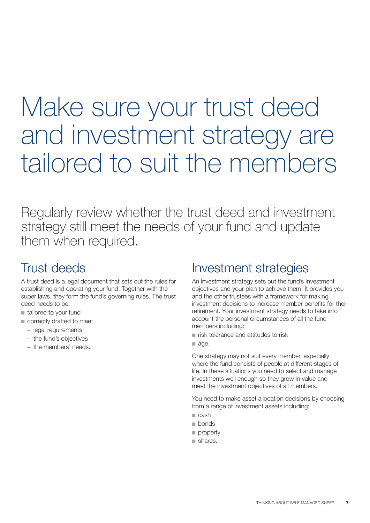## Make sure your trust deed and investment strategy are tailored to suit the members

Regularly review whether the trust deed and investment strategy still meet the needs of your fund and update them when required.

### Trust deeds

A trust deed is a legal document that sets out the rules for establishing and operating your fund. Together with the super laws, they form the fund's governing rules. The trust deed needs to be:

- tailored to your fund
- correctly drafted to meet
	- legal requirements
	- the fund's objectives
	- the members' needs.

### Investment strategies

An investment strategy sets out the fund's investment objectives and your plan to achieve them. It provides you and the other trustees with a framework for making investment decisions to increase member benefits for their retirement. Your investment strategy needs to take into account the personal circumstances of all the fund members including:

- risk tolerance and attitudes to risk
- age.

One strategy may not suit every member, especially where the fund consists of people at different stages of life. In these situations you need to select and manage investments well enough so they grow in value and meet the investment objectives of all members.

You need to make asset allocation decisions by choosing from a range of investment assets including:

- cash
- bonds
- property
- shares.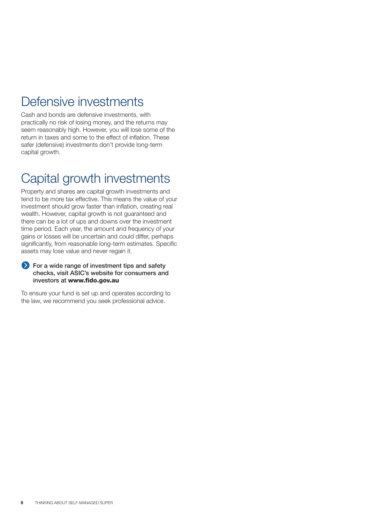### Defensive investments

Cash and bonds are defensive investments, with practically no risk of losing money, and the returns may seem reasonably high. However, you will lose some of the return in taxes and some to the effect of inflation. These safer (defensive) investments don't provide long-term capital growth.

### Capital growth investments

Property and shares are capital growth investments and tend to be more tax effective. This means the value of your investment should grow faster than inflation, creating real wealth. However, capital growth is not guaranteed and there can be a lot of ups and downs over the investment time period. Each year, the amount and frequency of your gains or losses will be uncertain and could differ, perhaps significantly, from reasonable long-term estimates. Specific assets may lose value and never regain it.

#### **For a wide range of investment tips and safety** checks, visit ASIC's website for consumers and investors at www.fido.gov.au

To ensure your fund is set up and operates according to the law, we recommend you seek professional advice.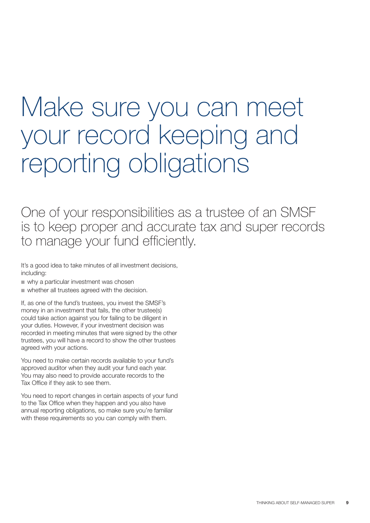## Make sure you can meet your record keeping and reporting obligations

One of your responsibilities as a trustee of an SMSF is to keep proper and accurate tax and super records to manage your fund efficiently.

It's a good idea to take minutes of all investment decisions, including:

- why a particular investment was chosen
- whether all trustees agreed with the decision.

If, as one of the fund's trustees, you invest the SMSF's money in an investment that fails, the other trustee(s) could take action against you for failing to be diligent in your duties. However, if your investment decision was recorded in meeting minutes that were signed by the other trustees, you will have a record to show the other trustees agreed with your actions.

You need to make certain records available to your fund's approved auditor when they audit your fund each year. You may also need to provide accurate records to the Tax Office if they ask to see them.

You need to report changes in certain aspects of your fund to the Tax Office when they happen and you also have annual reporting obligations, so make sure you're familiar with these requirements so you can comply with them.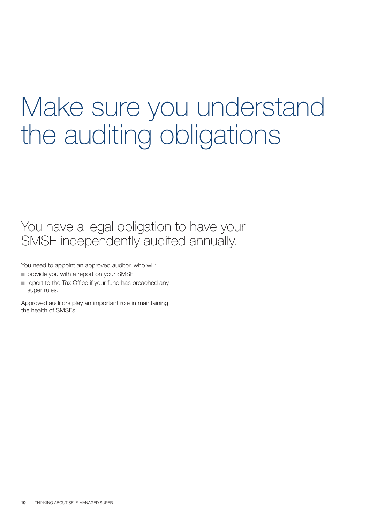## Make sure you understand the auditing obligations

You have a legal obligation to have your SMSF independently audited annually.

You need to appoint an approved auditor, who will:

- provide you with a report on your SMSF
- report to the Tax Office if your fund has breached any super rules.

Approved auditors play an important role in maintaining the health of SMSFs.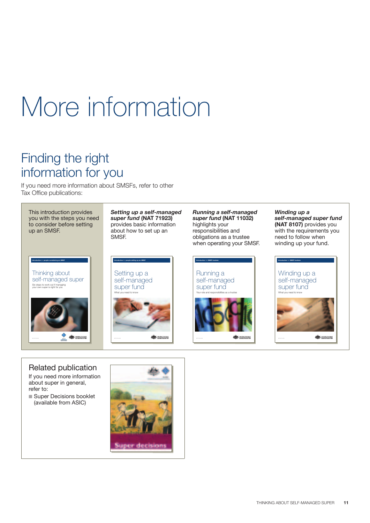## More information

### Finding the right information for you

If you need more information about SMSFs, refer to other Tax Office publications:

This introduction provides you with the steps you need to consider before setting up an SMSF.

Thinking about self-managed super Six steps to work out if managing<br>your own super is right for you **Introduction** for **people considering an SMSF** 



*Setting up a self-managed super fund* (NAT 71923) provides basic information about how to set up an SMSF.



 $\frac{1}{2}$ 

*Running a self-managed super fund* (NAT 11032) highlights your responsibilities and obligations as a trustee when operating your SMSF.



 $\frac{1}{2}$ 

*Winding up a self-managed super fund* (NAT 8107) provides you with the requirements you need to follow when winding up your fund.



#### Related publication

If you need more information about super in general, refer to:

■ Super Decisions booklet (available from ASIC)

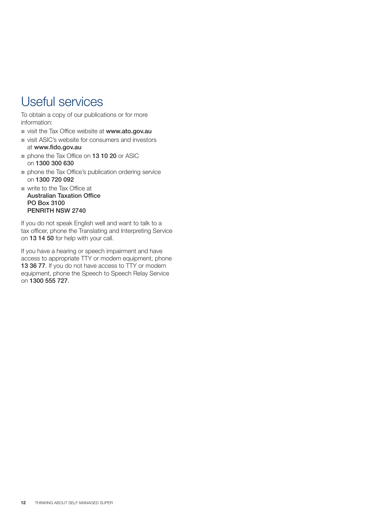### Useful services

To obtain a copy of our publications or for more information:

- usit the Tax Office website at www.ato.gov.au
- visit ASIC's website for consumers and investors at www.fido.gov.au
- phone the Tax Office on **13 10 20** or ASIC on 1300 300 630
- phone the Tax Office's publication ordering service on 1300 720 092
- write to the Tax Office at Australian Taxation Office PO Box 3100 PENRITH NSW 2740

If you do not speak English well and want to talk to a tax officer, phone the Translating and Interpreting Service on 13 14 50 for help with your call.

If you have a hearing or speech impairment and have access to appropriate TTY or modem equipment, phone 13 36 77. If you do not have access to TTY or modem equipment, phone the Speech to Speech Relay Service on 1300 555 727.